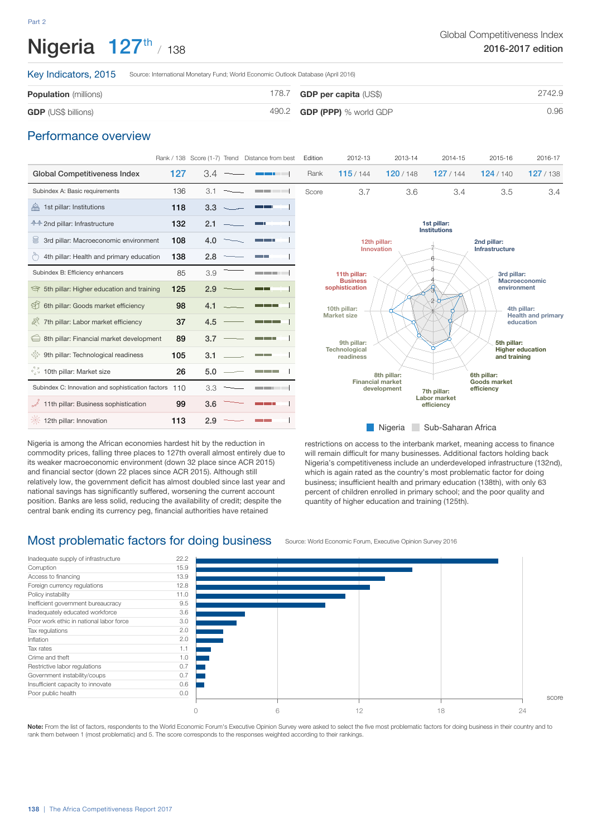## Nigeria  $127^{\text{th}}$  / 138

Key Indicators, 2015 Source: International Monetary Fund; World Economic Outlook Database (April 2016)

| <b>Population</b> (millions) | 178.7 <b>GDP per capita</b> $(US$)$ | 2742.9 |
|------------------------------|-------------------------------------|--------|
| <b>GDP</b> (US\$ billions)   | $490.2$ GDP (PPP) % world GDP       | 0.96   |

#### Performance overview

|                                                   |     |     | Rank / 138 Score (1-7) Trend Distance from best                                                                        | Edition                           | 2012-13                                                              | 2013-14                     | 2014-15                            | 2015-16                             | 2016-17                                 |  |
|---------------------------------------------------|-----|-----|------------------------------------------------------------------------------------------------------------------------|-----------------------------------|----------------------------------------------------------------------|-----------------------------|------------------------------------|-------------------------------------|-----------------------------------------|--|
| <b>Global Competitiveness Index</b>               | 127 | 3.4 | - -                                                                                                                    | Rank                              | 115/144                                                              | 120/148                     | 127/144                            | 124/140                             | 127/138                                 |  |
| Subindex A: Basic requirements                    | 136 | 3.1 | <u> Tanzania de la provincia de la provincia de la provincia de la provincia de la provincia de la provincia de la</u> | Score                             | 3.7                                                                  | 3.6                         | 3.4                                | 3.5                                 | 3.4                                     |  |
| 1st pillar: Institutions                          | 118 | 3.3 | <b>The Common</b>                                                                                                      |                                   |                                                                      |                             |                                    |                                     |                                         |  |
| <b>↑↑ 2nd pillar: Infrastructure</b>              | 132 | 2.1 | n an                                                                                                                   |                                   |                                                                      |                             | 1st pillar:<br><b>Institutions</b> |                                     |                                         |  |
| ≋<br>3rd pillar: Macroeconomic environment        | 108 | 4.0 | <u> Tanzania de la pro</u>                                                                                             |                                   | 12th pillar:                                                         |                             |                                    | 2nd pillar:                         |                                         |  |
| 4th pillar: Health and primary education          | 138 | 2.8 |                                                                                                                        |                                   | Innovation                                                           |                             |                                    | Infrastructure                      |                                         |  |
| Subindex B: Efficiency enhancers                  | 85  | 3.9 | <u> Tanzania de la c</u>                                                                                               |                                   | 11th pillar:                                                         |                             |                                    | 3rd pillar:                         |                                         |  |
| 5th pillar: Higher education and training         | 125 | 2.9 | <u>a ma</u>                                                                                                            | <b>Business</b><br>sophistication |                                                                      |                             |                                    | <b>Macroeconomic</b><br>environment |                                         |  |
| \$1<br>6th pillar: Goods market efficiency        | 98  | 4.1 | <u>a sa san</u>                                                                                                        |                                   | $\overline{2}$<br>10th pillar:                                       |                             |                                    | 4th pillar:                         |                                         |  |
| 7th pillar: Labor market efficiency               | 37  | 4.5 |                                                                                                                        | <b>Market size</b>                |                                                                      |                             |                                    |                                     | <b>Health and primary</b><br>education  |  |
| 8th pillar: Financial market development          | 89  | 3.7 | <u> a se</u>                                                                                                           |                                   | 9th pillar:                                                          |                             |                                    | 5th pillar:                         |                                         |  |
| SS<br>9th pillar: Technological readiness         | 105 | 3.1 | <b>The Contract State</b>                                                                                              | Technological<br>readiness        |                                                                      |                             |                                    |                                     | <b>Higher education</b><br>and training |  |
| $\frac{1}{2}$ 10th pillar: Market size            | 26  | 5.0 | <u> Tanzania de la pro</u>                                                                                             |                                   | 8th pillar:<br><b>Financial market</b><br>development<br>7th pillar: |                             |                                    | 6th pillar:                         |                                         |  |
| Subindex C: Innovation and sophistication factors | 110 | 3.3 | <u> Tanzania de la pro</u>                                                                                             |                                   |                                                                      |                             |                                    | <b>Goods market</b><br>efficiency   |                                         |  |
| 11th pillar: Business sophistication              | 99  | 3.6 | <b>The Contract of the Contract</b>                                                                                    |                                   |                                                                      |                             | Labor market<br>efficiency         |                                     |                                         |  |
| 12th pillar: Innovation                           | 113 | 2.9 |                                                                                                                        |                                   |                                                                      | Allocate Cub Cebeuse Africa |                                    |                                     |                                         |  |

Nigeria is among the African economies hardest hit by the reduction in commodity prices, falling three places to 127th overall almost entirely due to its weaker macroeconomic environment (down 32 place since ACR 2015) and financial sector (down 22 places since ACR 2015). Although still relatively low, the government deficit has almost doubled since last year and national savings has significantly suffered, worsening the current account position. Banks are less solid, reducing the availability of credit; despite the central bank ending its currency peg, financial authorities have retained



#### Most problematic factors for doing business





**Note:** From the list of factors, respondents to the World Economic Forum's Executive Opinion Survey were asked to select the five most problematic factors for doing business in their country and to rank them between 1 (most problematic) and 5. The score corresponds to the responses weighted according to their rankings.